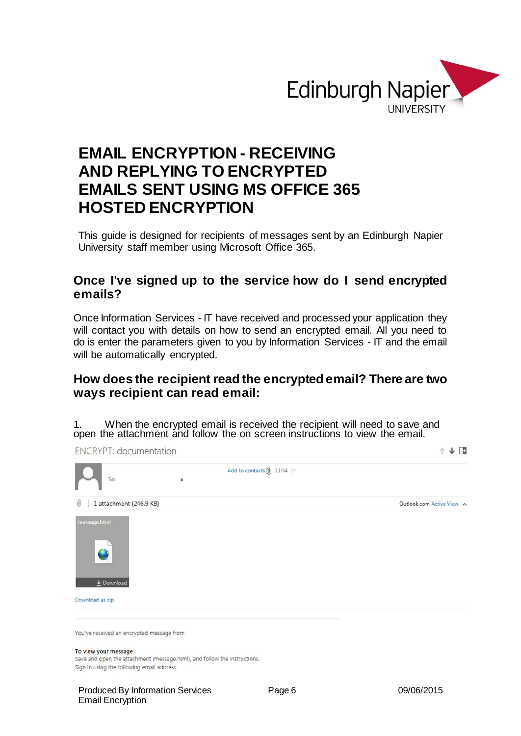

# **EMAIL ENCRYPTION - RECEIVING AND REPLYING TO ENCRYPTED EMAILS SENT USING MS OFFICE 365 HOSTED ENCRYPTION**

This guide is designed for recipients of messages sent by an Edinburgh Napier University staff member using Microsoft Office 365.

## **Once I've signed up to the service how do I send encrypted emails?**

Once Information Services - IT have received and processed your application they will contact you with details on how to send an encrypted email. All you need to do is enter the parameters given to you by Information Services - IT and the email will be automatically encrypted.

## **How does the recipient read the encrypted email? There are two ways recipient can read email:**

1. When the encrypted email is received the recipient will need to save and open the attachment and follow the on screen instructions to view the email.

**ENCRYPT:** documentation



You've received an encrypted message from

#### To view your message

Save and open the attachment (message.html), and follow the instructions. Sign in using the following email address:

 $\uparrow \downarrow \Box$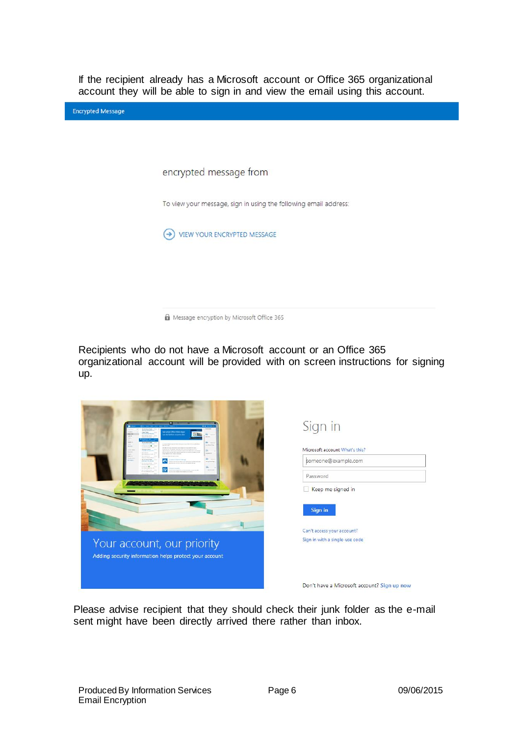If the recipient already has a Microsoft account or Office 365 organizational account they will be able to sign in and view the email using this account.

| <b>Encrypted Message</b> |                                                                  |
|--------------------------|------------------------------------------------------------------|
|                          |                                                                  |
|                          |                                                                  |
|                          | encrypted message from                                           |
|                          | To view your message, sign in using the following email address: |
|                          | VIEW YOUR ENCRYPTED MESSAGE<br>٠                                 |
|                          |                                                                  |
|                          |                                                                  |
|                          | Message encryption by Microsoft Office 365                       |

Recipients who do not have a Microsoft account or an Office 365 organizational account will be provided with on screen instructions for signing up.

| shat (Mix Web, Apps<br><b>ACCOUNTING</b>                                                       | Sign in<br>Microsoft account What's this?   |
|------------------------------------------------------------------------------------------------|---------------------------------------------|
| a la long<br>A Marcola Marcola de Marcola (m. 1874)<br>18 de marcola de Alexandre de Alexandre | someone@example.com                         |
|                                                                                                | Password<br>Keep me signed in               |
|                                                                                                | Sign in                                     |
|                                                                                                | Can't access your account?                  |
| Your account, our priority<br>Adding security information helps protect your account           | Sign in with a single-use code              |
|                                                                                                | Don't have a Microsoft account? Sign up now |

Please advise recipient that they should check their junk folder as the e-mail sent might have been directly arrived there rather than inbox.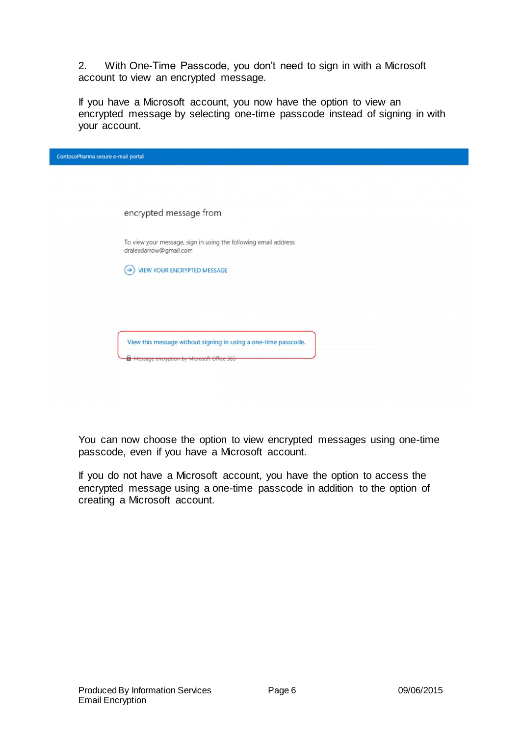2. With One-Time Passcode, you don't need to sign in with a Microsoft account to view an encrypted message.

If you have a Microsoft account, you now have the option to view an encrypted message by selecting one-time passcode instead of signing in with your account.

| ContosoPharma secure e-mail portal |                                                                                            |  |
|------------------------------------|--------------------------------------------------------------------------------------------|--|
|                                    |                                                                                            |  |
|                                    |                                                                                            |  |
|                                    | encrypted message from                                                                     |  |
|                                    | To view your message, sign in using the following email address:<br>dralexdarrow@gmail.com |  |
|                                    | VIEW YOUR ENCRYPTED MESSAGE<br>$\rightarrow$                                               |  |
|                                    |                                                                                            |  |
|                                    |                                                                                            |  |
|                                    | View this message without signing in using a one-time passcode.                            |  |
|                                    | <b>A</b> Message encryption by Microsoft Office 365                                        |  |
|                                    |                                                                                            |  |

You can now choose the option to view encrypted messages using one-time passcode, even if you have a Microsoft account.

If you do not have a Microsoft account, you have the option to access the encrypted message using a one-time passcode in addition to the option of creating a Microsoft account.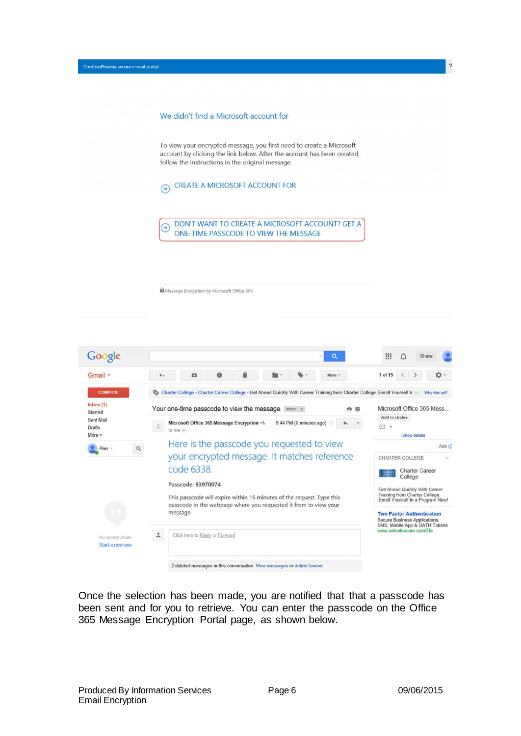| ContosoPharma secure e-mail portal |                                                                                                                                                                                                     |
|------------------------------------|-----------------------------------------------------------------------------------------------------------------------------------------------------------------------------------------------------|
|                                    |                                                                                                                                                                                                     |
|                                    |                                                                                                                                                                                                     |
|                                    | We didn't find a Microsoft account for                                                                                                                                                              |
|                                    | To view your encrypted message, you first need to create a Microsoft<br>account by clicking the link below. After the account has been created,<br>follow the instructions in the original message. |
|                                    | <b>CREATE A MICROSOFT ACCOUNT FOR</b><br>⊖                                                                                                                                                          |
|                                    | DON'T WANT TO CREATE A MICROSOFT ACCOUNT? GET A<br>$\rightarrow$<br>ONE-TIME PASSCODE TO VIEW THE MESSAGE                                                                                           |
|                                    |                                                                                                                                                                                                     |

Message Encryption by Microsoft Office 365



Once the selection has been made, you are notified that that a passcode has been sent and for you to retrieve. You can enter the passcode on the Office 365 Message Encryption Portal page, as shown below.

<sup>2</sup>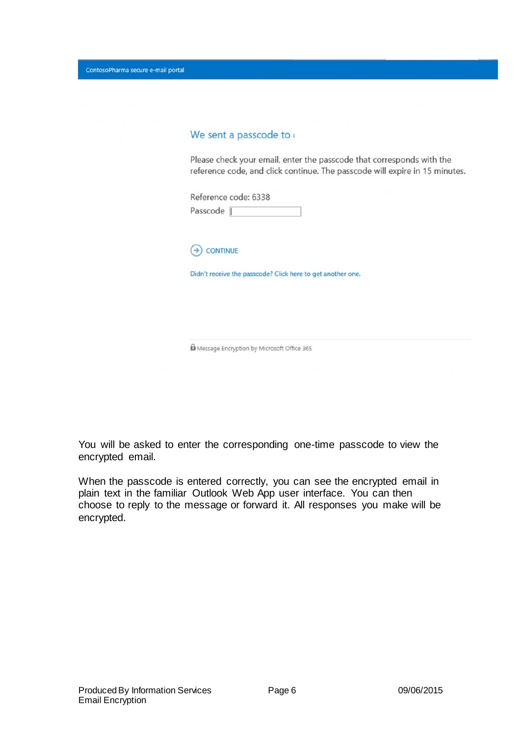ContosoPharma secure e-mail portal

#### We sent a passcode to

Please check your email, enter the passcode that corresponds with the reference code, and click continue. The passcode will expire in 15 minutes.

Reference code: 6338 Passcode |



Didn't receive the passcode? Click here to get another one.

Message Encryption by Microsoft Office 365

You will be asked to enter the corresponding one-time passcode to view the encrypted email.

When the passcode is entered correctly, you can see the encrypted email in plain text in the familiar Outlook Web App user interface. You can then choose to reply to the message or forward it. All responses you make will be encrypted.